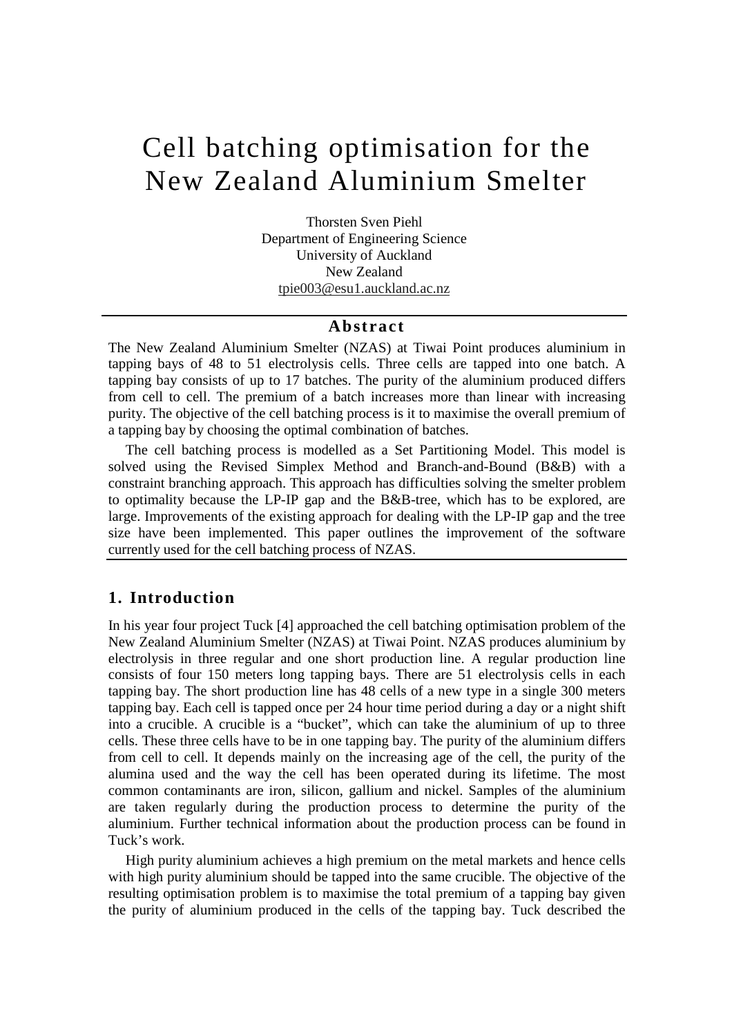# Cell batching optimisation for the New Zealand Aluminium Smelter

Thorsten Sven Piehl Department of Engineering Science University of Auckland New Zealand tpie003@esu1.auckland.ac.nz

#### **Abst ract**

The New Zealand Aluminium Smelter (NZAS) at Tiwai Point produces aluminium in tapping bays of 48 to 51 electrolysis cells. Three cells are tapped into one batch. A tapping bay consists of up to 17 batches. The purity of the aluminium produced differs from cell to cell. The premium of a batch increases more than linear with increasing purity. The objective of the cell batching process is it to maximise the overall premium of a tapping bay by choosing the optimal combination of batches.

The cell batching process is modelled as a Set Partitioning Model. This model is solved using the Revised Simplex Method and Branch-and-Bound (B&B) with a constraint branching approach. This approach has difficulties solving the smelter problem to optimality because the LP-IP gap and the B&B-tree, which has to be explored, are large. Improvements of the existing approach for dealing with the LP-IP gap and the tree size have been implemented. This paper outlines the improvement of the software currently used for the cell batching process of NZAS.

## **1. Introduction**

In his year four project Tuck [4] approached the cell batching optimisation problem of the New Zealand Aluminium Smelter (NZAS) at Tiwai Point. NZAS produces aluminium by electrolysis in three regular and one short production line. A regular production line consists of four 150 meters long tapping bays. There are 51 electrolysis cells in each tapping bay. The short production line has 48 cells of a new type in a single 300 meters tapping bay. Each cell is tapped once per 24 hour time period during a day or a night shift into a crucible. A crucible is a "bucket", which can take the aluminium of up to three cells. These three cells have to be in one tapping bay. The purity of the aluminium differs from cell to cell. It depends mainly on the increasing age of the cell, the purity of the alumina used and the way the cell has been operated during its lifetime. The most common contaminants are iron, silicon, gallium and nickel. Samples of the aluminium are taken regularly during the production process to determine the purity of the aluminium. Further technical information about the production process can be found in Tuck's work.

High purity aluminium achieves a high premium on the metal markets and hence cells with high purity aluminium should be tapped into the same crucible. The objective of the resulting optimisation problem is to maximise the total premium of a tapping bay given the purity of aluminium produced in the cells of the tapping bay. Tuck described the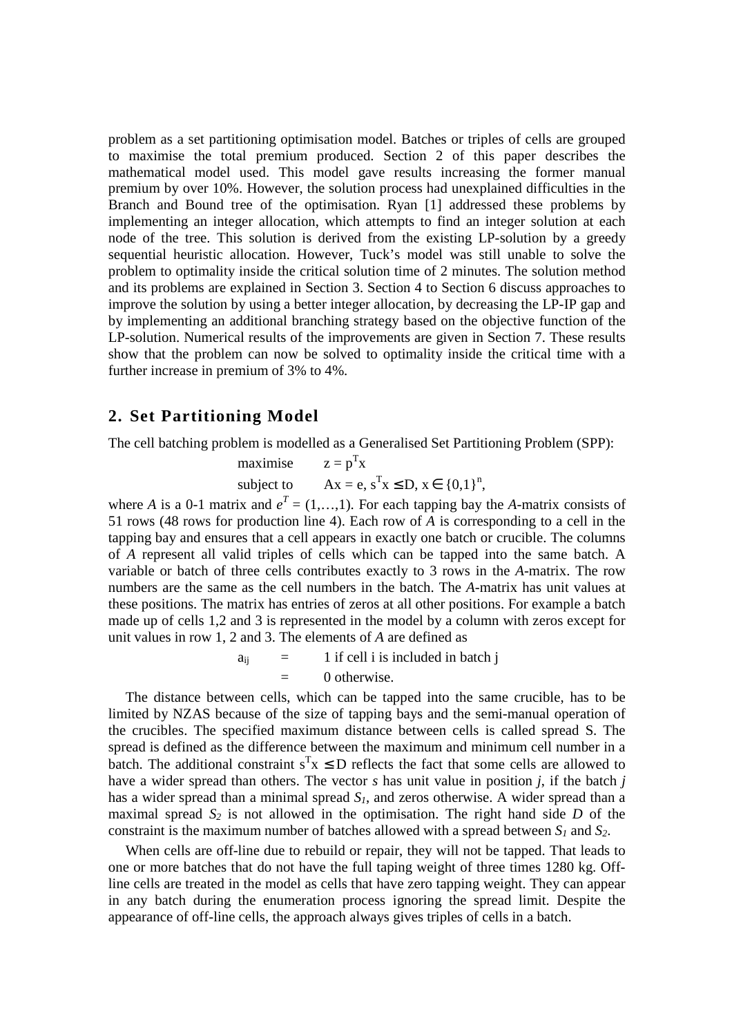problem as a set partitioning optimisation model. Batches or triples of cells are grouped to maximise the total premium produced. Section 2 of this paper describes the mathematical model used. This model gave results increasing the former manual premium by over 10%. However, the solution process had unexplained difficulties in the Branch and Bound tree of the optimisation. Ryan [1] addressed these problems by implementing an integer allocation, which attempts to find an integer solution at each node of the tree. This solution is derived from the existing LP-solution by a greedy sequential heuristic allocation. However, Tuck's model was still unable to solve the problem to optimality inside the critical solution time of 2 minutes. The solution method and its problems are explained in Section 3. Section 4 to Section 6 discuss approaches to improve the solution by using a better integer allocation, by decreasing the LP-IP gap and by implementing an additional branching strategy based on the objective function of the LP-solution. Numerical results of the improvements are given in Section 7. These results show that the problem can now be solved to optimality inside the critical time with a further increase in premium of 3% to 4%.

# **2. Set Partitioning Model**

The cell batching problem is modelled as a Generalised Set Partitioning Problem (SPP):

 $maximise$ T x subject to  $T_X \le D, x \in \{0,1\}^n$ 

where *A* is a 0-1 matrix and  $e^T = (1, \ldots, 1)$ . For each tapping bay the *A*-matrix consists of 51 rows (48 rows for production line 4). Each row of *A* is corresponding to a cell in the tapping bay and ensures that a cell appears in exactly one batch or crucible. The columns of *A* represent all valid triples of cells which can be tapped into the same batch. A variable or batch of three cells contributes exactly to 3 rows in the *A*-matrix. The row numbers are the same as the cell numbers in the batch. The *A*-matrix has unit values at these positions. The matrix has entries of zeros at all other positions. For example a batch made up of cells 1,2 and 3 is represented in the model by a column with zeros except for unit values in row 1, 2 and 3. The elements of *A* are defined as

> $a_{ii}$  = 1 if cell i is included in batch j 0 otherwise.

The distance between cells, which can be tapped into the same crucible, has to be limited by NZAS because of the size of tapping bays and the semi-manual operation of the crucibles. The specified maximum distance between cells is called spread S. The spread is defined as the difference between the maximum and minimum cell number in a batch. The additional constraint  $s^T x \le D$  reflects the fact that some cells are allowed to have a wider spread than others. The vector *s* has unit value in position *j*, if the batch *j* has a wider spread than a minimal spread *S1*, and zeros otherwise. A wider spread than a maximal spread  $S_2$  is not allowed in the optimisation. The right hand side *D* of the constraint is the maximum number of batches allowed with a spread between *S<sup>1</sup>* and *S2*.

When cells are off-line due to rebuild or repair, they will not be tapped. That leads to one or more batches that do not have the full taping weight of three times 1280 kg. Offline cells are treated in the model as cells that have zero tapping weight. They can appear in any batch during the enumeration process ignoring the spread limit. Despite the appearance of off-line cells, the approach always gives triples of cells in a batch.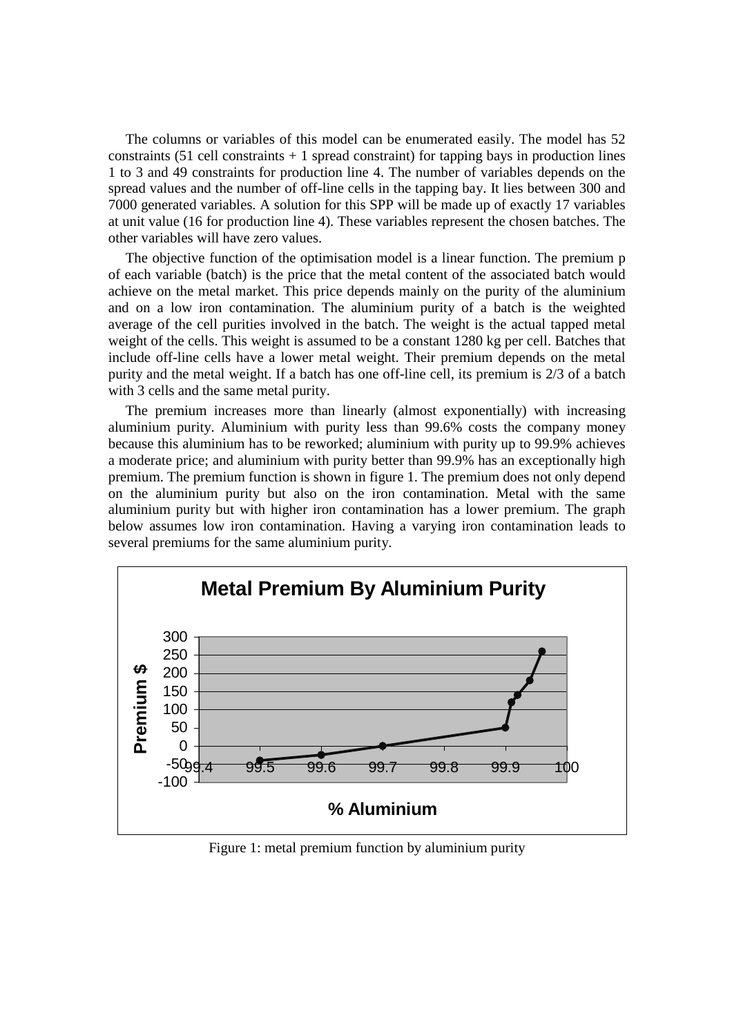The columns or variables of this model can be enumerated easily. The model has 52 constraints  $(51$  cell constraints  $+1$  spread constraint) for tapping bays in production lines 1 to 3 and 49 constraints for production line 4. The number of variables depends on the spread values and the number of off-line cells in the tapping bay. It lies between 300 and 7000 generated variables. A solution for this SPP will be made up of exactly 17 variables at unit value (16 for production line 4). These variables represent the chosen batches. The other variables will have zero values.

The objective function of the optimisation model is a linear function. The premium p of each variable (batch) is the price that the metal content of the associated batch would achieve on the metal market. This price depends mainly on the purity of the aluminium and on a low iron contamination. The aluminium purity of a batch is the weighted average of the cell purities involved in the batch. The weight is the actual tapped metal weight of the cells. This weight is assumed to be a constant 1280 kg per cell. Batches that include off-line cells have a lower metal weight. Their premium depends on the metal purity and the metal weight. If a batch has one off-line cell, its premium is 2/3 of a batch with 3 cells and the same metal purity.

The premium increases more than linearly (almost exponentially) with increasing aluminium purity. Aluminium with purity less than 99.6% costs the company money because this aluminium has to be reworked; aluminium with purity up to 99.9% achieves a moderate price; and aluminium with purity better than 99.9% has an exceptionally high premium. The premium function is shown in figure 1. The premium does not only depend on the aluminium purity but also on the iron contamination. Metal with the same aluminium purity but with higher iron contamination has a lower premium. The graph below assumes low iron contamination. Having a varying iron contamination leads to several premiums for the same aluminium purity.



Figure 1: metal premium function by aluminium purity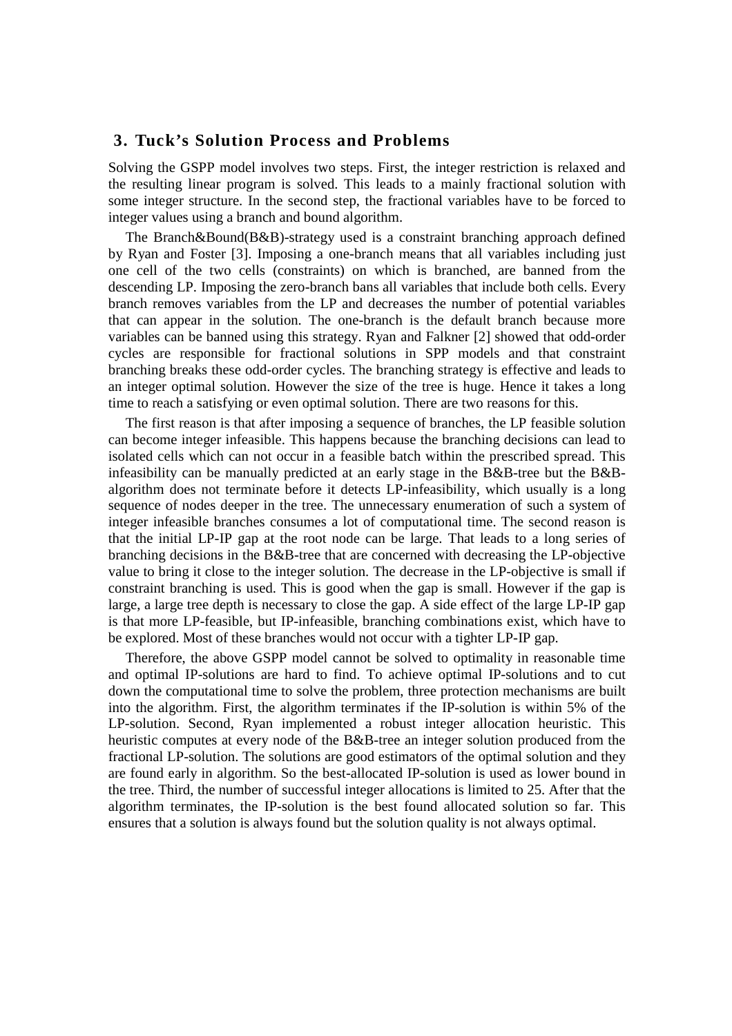#### **3. Tuck's Solution Process and Problems**

Solving the GSPP model involves two steps. First, the integer restriction is relaxed and the resulting linear program is solved. This leads to a mainly fractional solution with some integer structure. In the second step, the fractional variables have to be forced to integer values using a branch and bound algorithm.

The Branch&Bound(B&B)-strategy used is a constraint branching approach defined by Ryan and Foster [3]. Imposing a one-branch means that all variables including just one cell of the two cells (constraints) on which is branched, are banned from the descending LP. Imposing the zero-branch bans all variables that include both cells. Every branch removes variables from the LP and decreases the number of potential variables that can appear in the solution. The one-branch is the default branch because more variables can be banned using this strategy. Ryan and Falkner [2] showed that odd-order cycles are responsible for fractional solutions in SPP models and that constraint branching breaks these odd-order cycles. The branching strategy is effective and leads to an integer optimal solution. However the size of the tree is huge. Hence it takes a long time to reach a satisfying or even optimal solution. There are two reasons for this.

The first reason is that after imposing a sequence of branches, the LP feasible solution can become integer infeasible. This happens because the branching decisions can lead to isolated cells which can not occur in a feasible batch within the prescribed spread. This infeasibility can be manually predicted at an early stage in the B&B-tree but the B&Balgorithm does not terminate before it detects LP-infeasibility, which usually is a long sequence of nodes deeper in the tree. The unnecessary enumeration of such a system of integer infeasible branches consumes a lot of computational time. The second reason is that the initial LP-IP gap at the root node can be large. That leads to a long series of branching decisions in the B&B-tree that are concerned with decreasing the LP-objective value to bring it close to the integer solution. The decrease in the LP-objective is small if constraint branching is used. This is good when the gap is small. However if the gap is large, a large tree depth is necessary to close the gap. A side effect of the large LP-IP gap is that more LP-feasible, but IP-infeasible, branching combinations exist, which have to be explored. Most of these branches would not occur with a tighter LP-IP gap.

Therefore, the above GSPP model cannot be solved to optimality in reasonable time and optimal IP-solutions are hard to find. To achieve optimal IP-solutions and to cut down the computational time to solve the problem, three protection mechanisms are built into the algorithm. First, the algorithm terminates if the IP-solution is within 5% of the LP-solution. Second, Ryan implemented a robust integer allocation heuristic. This heuristic computes at every node of the B&B-tree an integer solution produced from the fractional LP-solution. The solutions are good estimators of the optimal solution and they are found early in algorithm. So the best-allocated IP-solution is used as lower bound in the tree. Third, the number of successful integer allocations is limited to 25. After that the algorithm terminates, the IP-solution is the best found allocated solution so far. This ensures that a solution is always found but the solution quality is not always optimal.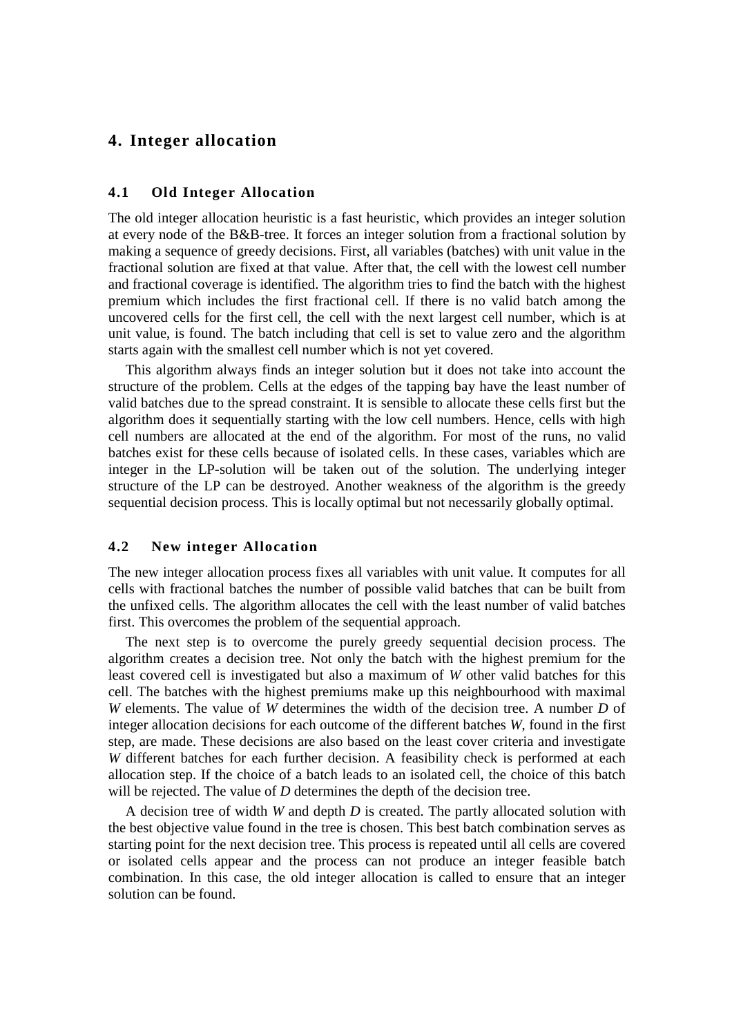# **4. Integer allocation**

#### **4.1 Old Integer Allocation**

The old integer allocation heuristic is a fast heuristic, which provides an integer solution at every node of the B&B-tree. It forces an integer solution from a fractional solution by making a sequence of greedy decisions. First, all variables (batches) with unit value in the fractional solution are fixed at that value. After that, the cell with the lowest cell number and fractional coverage is identified. The algorithm tries to find the batch with the highest premium which includes the first fractional cell. If there is no valid batch among the uncovered cells for the first cell, the cell with the next largest cell number, which is at unit value, is found. The batch including that cell is set to value zero and the algorithm starts again with the smallest cell number which is not yet covered.

This algorithm always finds an integer solution but it does not take into account the structure of the problem. Cells at the edges of the tapping bay have the least number of valid batches due to the spread constraint. It is sensible to allocate these cells first but the algorithm does it sequentially starting with the low cell numbers. Hence, cells with high cell numbers are allocated at the end of the algorithm. For most of the runs, no valid batches exist for these cells because of isolated cells. In these cases, variables which are integer in the LP-solution will be taken out of the solution. The underlying integer structure of the LP can be destroyed. Another weakness of the algorithm is the greedy sequential decision process. This is locally optimal but not necessarily globally optimal.

#### **4.2 New integer Allocation**

The new integer allocation process fixes all variables with unit value. It computes for all cells with fractional batches the number of possible valid batches that can be built from the unfixed cells. The algorithm allocates the cell with the least number of valid batches first. This overcomes the problem of the sequential approach.

The next step is to overcome the purely greedy sequential decision process. The algorithm creates a decision tree. Not only the batch with the highest premium for the least covered cell is investigated but also a maximum of *W* other valid batches for this cell. The batches with the highest premiums make up this neighbourhood with maximal *W* elements. The value of *W* determines the width of the decision tree. A number *D* of integer allocation decisions for each outcome of the different batches *W*, found in the first step, are made. These decisions are also based on the least cover criteria and investigate *W* different batches for each further decision. A feasibility check is performed at each allocation step. If the choice of a batch leads to an isolated cell, the choice of this batch will be rejected. The value of *D* determines the depth of the decision tree.

A decision tree of width *W* and depth *D* is created. The partly allocated solution with the best objective value found in the tree is chosen. This best batch combination serves as starting point for the next decision tree. This process is repeated until all cells are covered or isolated cells appear and the process can not produce an integer feasible batch combination. In this case, the old integer allocation is called to ensure that an integer solution can be found.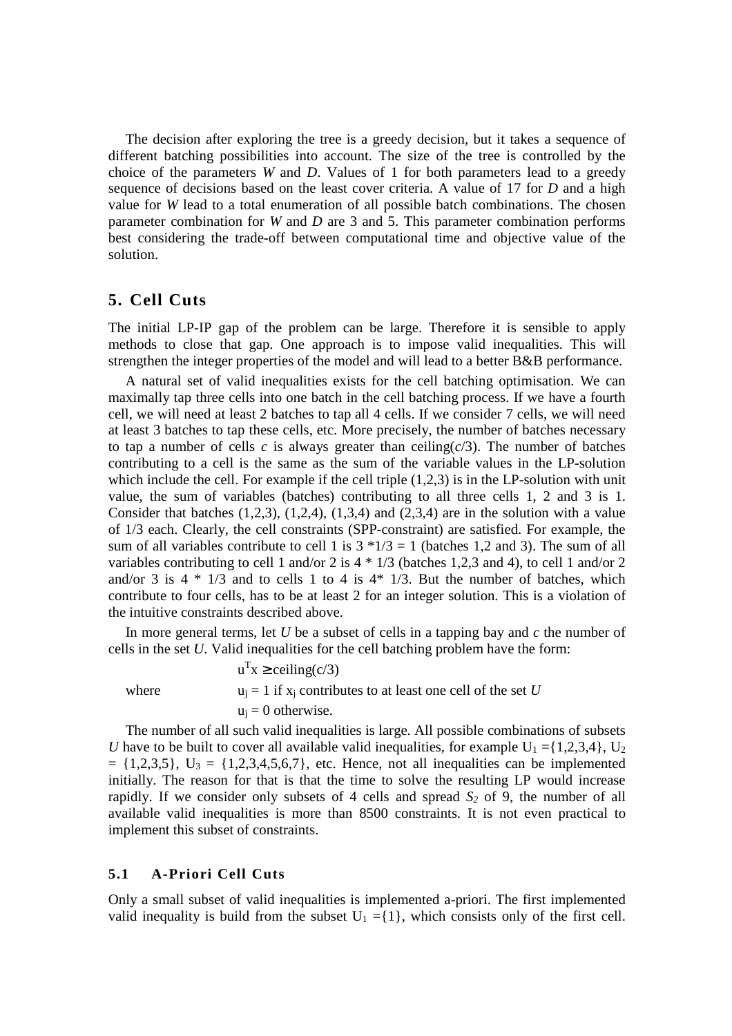The decision after exploring the tree is a greedy decision, but it takes a sequence of different batching possibilities into account. The size of the tree is controlled by the choice of the parameters *W* and *D*. Values of 1 for both parameters lead to a greedy sequence of decisions based on the least cover criteria. A value of 17 for *D* and a high value for *W* lead to a total enumeration of all possible batch combinations. The chosen parameter combination for *W* and *D* are 3 and 5. This parameter combination performs best considering the trade-off between computational time and objective value of the solution.

## **5. Cell Cuts**

The initial LP-IP gap of the problem can be large. Therefore it is sensible to apply methods to close that gap. One approach is to impose valid inequalities. This will strengthen the integer properties of the model and will lead to a better B&B performance.

A natural set of valid inequalities exists for the cell batching optimisation. We can maximally tap three cells into one batch in the cell batching process. If we have a fourth cell, we will need at least 2 batches to tap all 4 cells. If we consider 7 cells, we will need at least 3 batches to tap these cells, etc. More precisely, the number of batches necessary to tap a number of cells  $c$  is always greater than ceiling $(c/3)$ . The number of batches contributing to a cell is the same as the sum of the variable values in the LP-solution which include the cell. For example if the cell triple  $(1,2,3)$  is in the LP-solution with unit value, the sum of variables (batches) contributing to all three cells 1, 2 and 3 is 1. Consider that batches  $(1,2,3)$ ,  $(1,2,4)$ ,  $(1,3,4)$  and  $(2,3,4)$  are in the solution with a value of 1/3 each. Clearly, the cell constraints (SPP-constraint) are satisfied. For example, the sum of all variables contribute to cell 1 is  $3 * 1/3 = 1$  (batches 1,2 and 3). The sum of all variables contributing to cell 1 and/or 2 is  $4 * 1/3$  (batches 1,2,3 and 4), to cell 1 and/or 2 and/or 3 is  $4 * 1/3$  and to cells 1 to 4 is  $4 * 1/3$ . But the number of batches, which contribute to four cells, has to be at least 2 for an integer solution. This is a violation of the intuitive constraints described above.

In more general terms, let *U* be a subset of cells in a tapping bay and *c* the number of cells in the set *U*. Valid inequalities for the cell batching problem have the form:

 $u<sup>T</sup>x \ge$  ceiling(c/3) where  $u_j = 1$  if  $x_j$  contributes to at least one cell of the set *U*  $u_i = 0$  otherwise.

The number of all such valid inequalities is large. All possible combinations of subsets *U* have to be built to cover all available valid inequalities, for example  $U_1 = \{1,2,3,4\}$ ,  $U_2$  $= \{1,2,3,5\}, \mathbf{U}_3 = \{1,2,3,4,5,6,7\},\$ etc. Hence, not all inequalities can be implemented initially. The reason for that is that the time to solve the resulting LP would increase rapidly. If we consider only subsets of 4 cells and spread *S<sup>2</sup>* of 9, the number of all available valid inequalities is more than 8500 constraints. It is not even practical to implement this subset of constraints.

#### **5.1 A-Priori Cell Cuts**

Only a small subset of valid inequalities is implemented a-priori. The first implemented valid inequality is build from the subset  $U_1 = \{1\}$ , which consists only of the first cell.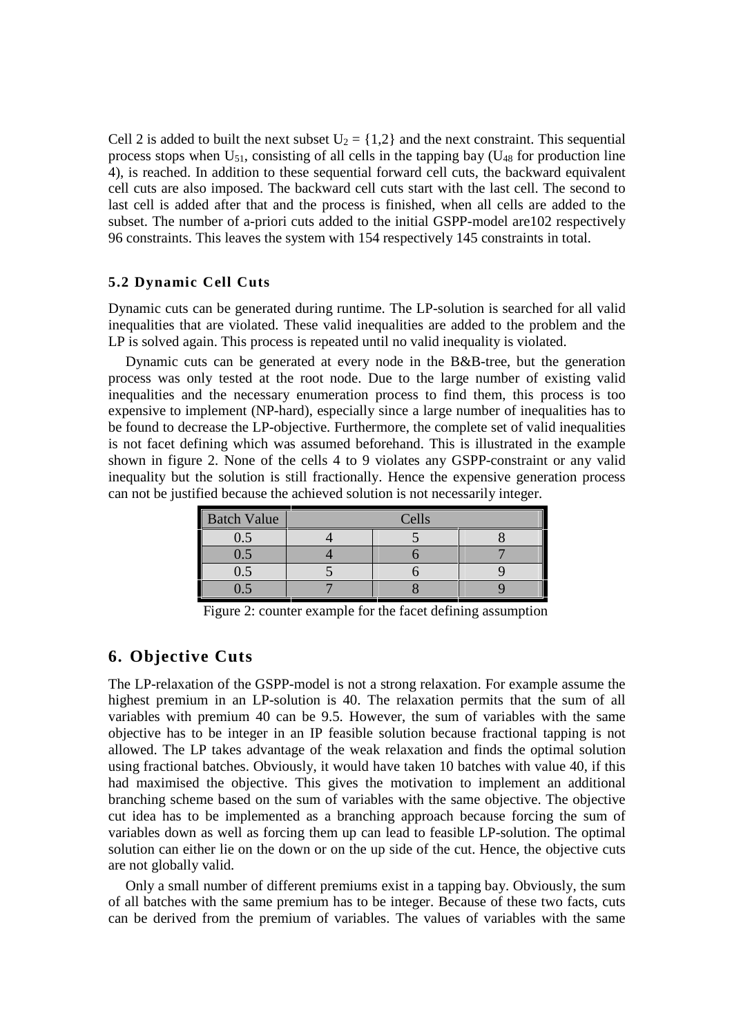Cell 2 is added to built the next subset  $U_2 = \{1,2\}$  and the next constraint. This sequential process stops when  $U_{51}$ , consisting of all cells in the tapping bay ( $U_{48}$  for production line 4), is reached. In addition to these sequential forward cell cuts, the backward equivalent cell cuts are also imposed. The backward cell cuts start with the last cell. The second to last cell is added after that and the process is finished, when all cells are added to the subset. The number of a-priori cuts added to the initial GSPP-model are102 respectively 96 constraints. This leaves the system with 154 respectively 145 constraints in total.

#### **5.2 Dynamic Cell Cuts**

Dynamic cuts can be generated during runtime. The LP-solution is searched for all valid inequalities that are violated. These valid inequalities are added to the problem and the LP is solved again. This process is repeated until no valid inequality is violated.

Dynamic cuts can be generated at every node in the B&B-tree, but the generation process was only tested at the root node. Due to the large number of existing valid inequalities and the necessary enumeration process to find them, this process is too expensive to implement (NP-hard), especially since a large number of inequalities has to be found to decrease the LP-objective. Furthermore, the complete set of valid inequalities is not facet defining which was assumed beforehand. This is illustrated in the example shown in figure 2. None of the cells 4 to 9 violates any GSPP-constraint or any valid inequality but the solution is still fractionally. Hence the expensive generation process can not be justified because the achieved solution is not necessarily integer.

| <b>Batch Value</b> | Cells |  |  |  |  |
|--------------------|-------|--|--|--|--|
|                    |       |  |  |  |  |
| 15.                |       |  |  |  |  |
| 1.5                |       |  |  |  |  |
|                    |       |  |  |  |  |

Figure 2: counter example for the facet defining assumption

# **6. Objective Cuts**

The LP-relaxation of the GSPP-model is not a strong relaxation. For example assume the highest premium in an LP-solution is 40. The relaxation permits that the sum of all variables with premium 40 can be 9.5. However, the sum of variables with the same objective has to be integer in an IP feasible solution because fractional tapping is not allowed. The LP takes advantage of the weak relaxation and finds the optimal solution using fractional batches. Obviously, it would have taken 10 batches with value 40, if this had maximised the objective. This gives the motivation to implement an additional branching scheme based on the sum of variables with the same objective. The objective cut idea has to be implemented as a branching approach because forcing the sum of variables down as well as forcing them up can lead to feasible LP-solution. The optimal solution can either lie on the down or on the up side of the cut. Hence, the objective cuts are not globally valid.

Only a small number of different premiums exist in a tapping bay. Obviously, the sum of all batches with the same premium has to be integer. Because of these two facts, cuts can be derived from the premium of variables. The values of variables with the same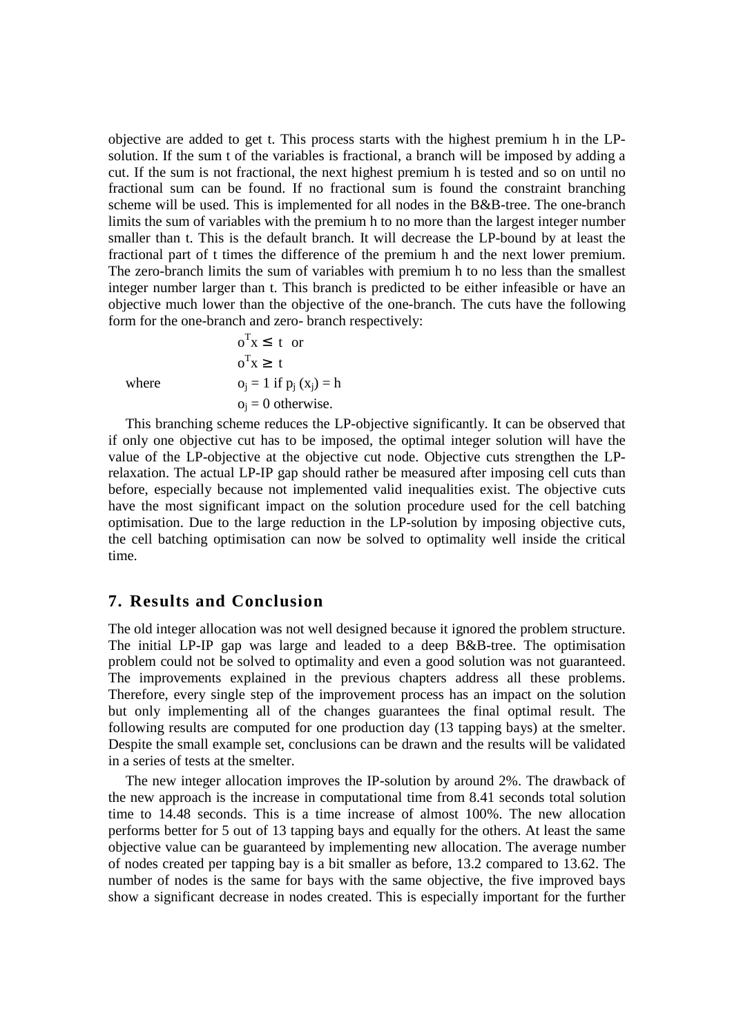objective are added to get t. This process starts with the highest premium h in the LPsolution. If the sum t of the variables is fractional, a branch will be imposed by adding a cut. If the sum is not fractional, the next highest premium h is tested and so on until no fractional sum can be found. If no fractional sum is found the constraint branching scheme will be used. This is implemented for all nodes in the B&B-tree. The one-branch limits the sum of variables with the premium h to no more than the largest integer number smaller than t. This is the default branch. It will decrease the LP-bound by at least the fractional part of t times the difference of the premium h and the next lower premium. The zero-branch limits the sum of variables with premium h to no less than the smallest integer number larger than t. This branch is predicted to be either infeasible or have an objective much lower than the objective of the one-branch. The cuts have the following form for the one-branch and zero- branch respectively:

 $o^Tx \geq \lceil t \rceil$ where  $o_j = 1$  if  $p_j(x_j) = h$  $o_i = 0$  otherwise.

 $o^Tx \leq \lfloor t \rfloor$  or

This branching scheme reduces the LP-objective significantly. It can be observed that if only one objective cut has to be imposed, the optimal integer solution will have the value of the LP-objective at the objective cut node. Objective cuts strengthen the LPrelaxation. The actual LP-IP gap should rather be measured after imposing cell cuts than before, especially because not implemented valid inequalities exist. The objective cuts have the most significant impact on the solution procedure used for the cell batching optimisation. Due to the large reduction in the LP-solution by imposing objective cuts, the cell batching optimisation can now be solved to optimality well inside the critical time.

## **7. Results and Conclusion**

The old integer allocation was not well designed because it ignored the problem structure. The initial LP-IP gap was large and leaded to a deep B&B-tree. The optimisation problem could not be solved to optimality and even a good solution was not guaranteed. The improvements explained in the previous chapters address all these problems. Therefore, every single step of the improvement process has an impact on the solution but only implementing all of the changes guarantees the final optimal result. The following results are computed for one production day (13 tapping bays) at the smelter. Despite the small example set, conclusions can be drawn and the results will be validated in a series of tests at the smelter.

The new integer allocation improves the IP-solution by around 2%. The drawback of the new approach is the increase in computational time from 8.41 seconds total solution time to 14.48 seconds. This is a time increase of almost 100%. The new allocation performs better for 5 out of 13 tapping bays and equally for the others. At least the same objective value can be guaranteed by implementing new allocation. The average number of nodes created per tapping bay is a bit smaller as before, 13.2 compared to 13.62. The number of nodes is the same for bays with the same objective, the five improved bays show a significant decrease in nodes created. This is especially important for the further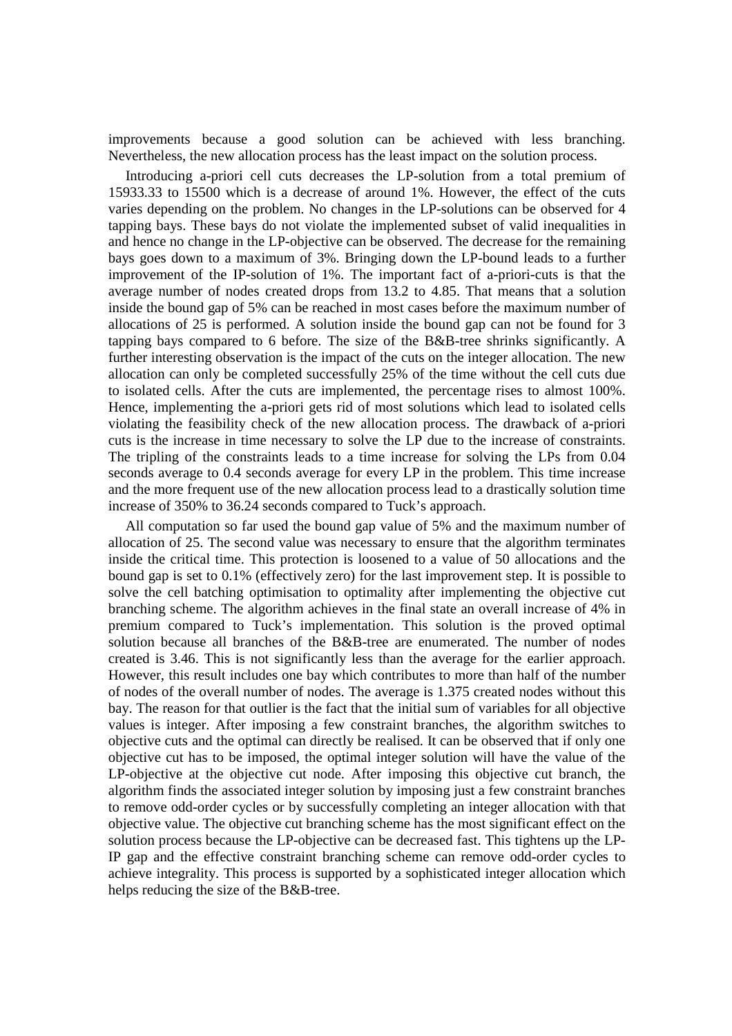improvements because a good solution can be achieved with less branching. Nevertheless, the new allocation process has the least impact on the solution process.

Introducing a-priori cell cuts decreases the LP-solution from a total premium of 15933.33 to 15500 which is a decrease of around 1%. However, the effect of the cuts varies depending on the problem. No changes in the LP-solutions can be observed for 4 tapping bays. These bays do not violate the implemented subset of valid inequalities in and hence no change in the LP-objective can be observed. The decrease for the remaining bays goes down to a maximum of 3%. Bringing down the LP-bound leads to a further improvement of the IP-solution of 1%. The important fact of a-priori-cuts is that the average number of nodes created drops from 13.2 to 4.85. That means that a solution inside the bound gap of 5% can be reached in most cases before the maximum number of allocations of 25 is performed. A solution inside the bound gap can not be found for 3 tapping bays compared to 6 before. The size of the B&B-tree shrinks significantly. A further interesting observation is the impact of the cuts on the integer allocation. The new allocation can only be completed successfully 25% of the time without the cell cuts due to isolated cells. After the cuts are implemented, the percentage rises to almost 100%. Hence, implementing the a-priori gets rid of most solutions which lead to isolated cells violating the feasibility check of the new allocation process. The drawback of a-priori cuts is the increase in time necessary to solve the LP due to the increase of constraints. The tripling of the constraints leads to a time increase for solving the LPs from 0.04 seconds average to 0.4 seconds average for every LP in the problem. This time increase and the more frequent use of the new allocation process lead to a drastically solution time increase of 350% to 36.24 seconds compared to Tuck's approach.

All computation so far used the bound gap value of 5% and the maximum number of allocation of 25. The second value was necessary to ensure that the algorithm terminates inside the critical time. This protection is loosened to a value of 50 allocations and the bound gap is set to 0.1% (effectively zero) for the last improvement step. It is possible to solve the cell batching optimisation to optimality after implementing the objective cut branching scheme. The algorithm achieves in the final state an overall increase of 4% in premium compared to Tuck's implementation. This solution is the proved optimal solution because all branches of the B&B-tree are enumerated. The number of nodes created is 3.46. This is not significantly less than the average for the earlier approach. However, this result includes one bay which contributes to more than half of the number of nodes of the overall number of nodes. The average is 1.375 created nodes without this bay. The reason for that outlier is the fact that the initial sum of variables for all objective values is integer. After imposing a few constraint branches, the algorithm switches to objective cuts and the optimal can directly be realised. It can be observed that if only one objective cut has to be imposed, the optimal integer solution will have the value of the LP-objective at the objective cut node. After imposing this objective cut branch, the algorithm finds the associated integer solution by imposing just a few constraint branches to remove odd-order cycles or by successfully completing an integer allocation with that objective value. The objective cut branching scheme has the most significant effect on the solution process because the LP-objective can be decreased fast. This tightens up the LP-IP gap and the effective constraint branching scheme can remove odd-order cycles to achieve integrality. This process is supported by a sophisticated integer allocation which helps reducing the size of the B&B-tree.